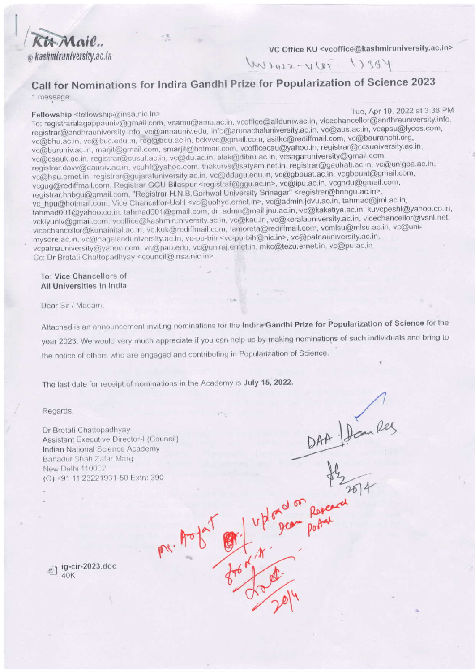Kit Mail. @ kashmiruniversity.ac.in

VC Office KU <vcoffice@kashmiruniversity.ac.in>

West Two-say

# Call for Nominations for Indira Gandhi Prize for Popularization of Science 2023

1 message

#### Fellowship <fellowship@insa.nic.in>

Tue, Apr 19, 2022 at 3:36 PM

To: registraralagappauniv@gmail.com, vcamu@amu.ac.in, vcoffice@allduniv.ac.in, vicechancellor@andhrauniversity.info, registrar@andhrauniversity.info, vc@annauniv.edu, info@arunachaluniversity.ac.in, vc@aus.ac.in, vcapsu@lycos.com, vc@bhu.ac.in, vc@buc.edu.in, reg@bdu.ac.in, bckvvc@gmail.com, asitkc@rediffmail.com, vc@bauranchi.org, vc@buruniv.ac.in, marjit@gmail.com, smarjit@hotmail.com, vcofficecau@yahoo.in, registrar@ccsuniversity.ac.in, vc@csauk.ac.in, registrar@cusat.ac.in, vc@du.ac.in, alak@dibru.ac.in, vcsagaruniversity@gmail.com, registrar.davv@dauniv.ac.in, vcuhf@yahoo.com, thakurvs@satyam.net.in, registrar@gauhati.ac.in, vc@unigoa.ac.in, vc@hau.ernet.in, registrar@gujaratuniversity.ac.in, vc@ddugu.edu.in, vc@gbpuat.ac.in, vcgbpuat@gmail.com, vcgug@rediffmail.com, Registrar GGU Bilaspur <registrar@ggu.ac.in>, vc@ipu.ac.in, vcgndu@gmail.com, registrar.hnbgu@gmail.com, "Registrar H.N.B.Garhwal University Srinagar" <registrar@hnbgu.ac.in>, vc\_hpu@hotmail.com, Vice Chancellor-UoH <vc@uohyd.ernet.in>, vc@admin.jdvu.ac.in, tahmad@jmi.ac.in, tahmad001@yahoo.co.in, tahmad001@gmail.com, dr\_admn@mail.jnu.ac.in, vc@kakatiya.ac.in, kuvcpeshi@yahoo.co.in, vcklyuniv@gmail.com, vcoffice@kashmiruniversity.ac.in, vc@kau.in, vc@keralauniversity.ac.in, vicechancellor@vsnl.net, vicechancellor@kunainital.ac.in. vc.kuk@rediffmail.com, tamoreta@rediffmail.com, vcmlsu@mlsu.ac.in, vc@unimysore.ac.in, vc@nagalanduniversity.ac.in, vc-pu-bih <vc-pu-bih@nic.in>, vc@patnauniversity.ac.in, vcpatnauniversity@yahoo.com, vc@pau.edu, vc@uniraj.ernet.in, mkc@tezu.ernet.in, vc@pu.ac.in Cc: Dr Brotati Chattopadhyay <council@insa.nic.in>

#### To: Vice Chancellors of All Universities in India

Dear Sir / Madam.

Attached is an announcement inviting nominations for the Indira Gandhi Prize for Popularization of Science for the year 2023. We would very much appreciate if you can help us by making nominations of such individuals and bring to the notice of others who are engaged and contributing in Popularization of Science.

pr. Aob Ota

The last date for receipt of nominations in the Academy is July 15, 2022.

Regards.

Dr Brotati Chattopadhyay **Assistant Executive Director-I (Council)** Indian National Science Academy Bahadur Shah Zafar Marg New Delhi 110002 (O) +91 11 23221931-50 Extn: 390

DAA Dan Region Rey<br>Hymne Region Rey<br>Uplogen poter

<sub>3</sub>) ig-cir-2023.doc  $40K$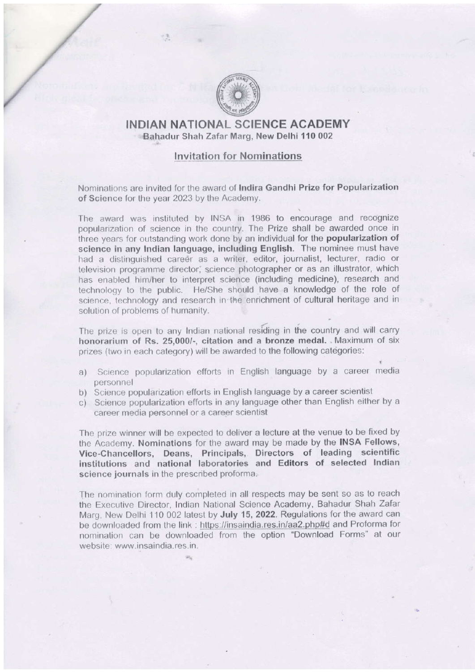

## INDIAN NATIONAL SCIENCE ACADEMY Sahadur Shah Zafar Marg, New Delhi 110 002

## Invitation for Nomina<mark>tion</mark>s

Nominations are invited for the award of Indira Gandhi Prize for Popularization of Science for the year 2023 by the Academy.

The award was instituted by INSA in 1986 to encourage and recognize popularization of science in the country. The Prize shall be awarded once in three years for outstanding work done by an individual for the popularization of science in any lndian language, including English. The nominee must have had a distinguished career as a writer, editor, journalist, lecturer, radio or television programme director; science photographer or as an illustrator, which has enabled him/her to interpret science (including medicine), research and technology to the public. He/She should have a knowledge of the role of science, technoloqy and research in'the enrichment of cultural heritage and in solution of problems of humanity.

The prize is open to any Indian national residing in the country and will carry honorarium of Rs. 25,000/-, citation and a bronze medal. Maximum of six prizes (two in each category) will be awarded to the following categories:

- a) Science popularization efforts in English language by a career media personnel
- b) Science popularization efforts in English language by a career scientist
- c) Science popularization efforts in any language other than English either by <sup>a</sup> career media personnel or a career scientist

The prize winner will be expected to deliver a lecture at the venue to be fixed by the Academy. Nominations for the award may be made by the INSA Fellows, Vice-Chancellors, Deans, Principals, Directors ot leading scientific institutions and national laboratories and Editors of selected lndlan science journals in the prescribed proforma.

The nomination form duly completed in all respects may be sent so as to reach the Executive Director, lndian National Science Academy, Bahadur Shah Zafar Marg, New Delhi 110 002 latest by July 15, 2022. Regulations for the award can be downloaded from the link : https://insaindia.res.in/aa2.php#d and Proforma for nomination can be downloaded from the option'Download Forms" at our website: www.insaindia.res.in.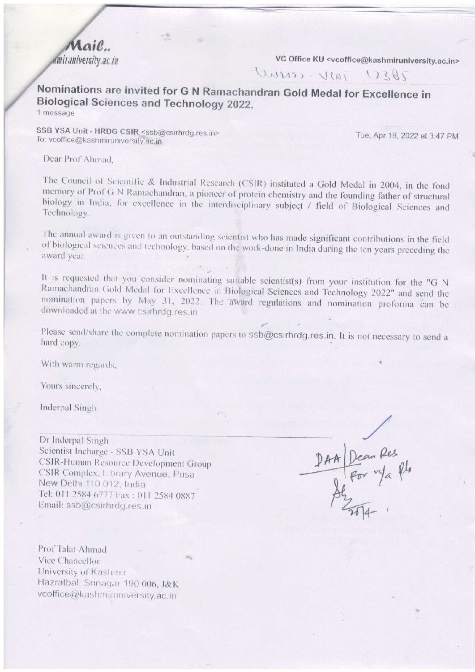$\alpha$ il amiruniversity.ac.in

VC Office KU <vcoffice@kashmiruniversity.ac.in>

2821 JWN corrent

Nominations are invited for G N Ramachandran Gold Medal for Excellence in **Biological Sciences and Technology 2022.** 1 message

SSB YSA Unit - HRDG CSIR <ssb@csirhrdg.res.in> To: vcoffice@kashmiruniversity.ac.in

Tue, Apr 19, 2022 at 3:47 PM

Dear Prof Ahmad.

The Council of Scientific & Industrial Research (CSIR) instituted a Gold Medal in 2004, in the fond memory of Prof G N Ramachandran, a pioneer of protein chemistry and the founding father of structural biology in India, for excellence in the interdisciplinary subject / field of Biological Sciences and Technology.

The annual award is given to an outstanding scientist who has made significant contributions in the field of biological sciences and technology, based on the work-done in India during the ten years preceding the award year.

It is requested that you consider nominating suitable scientist(s) from your institution for the "G N Ramachandran Gold Medal for Excellence in Biological Sciences and Technology 2022" and send the nomination papers by May 31, 2022. The award regulations and nomination proforma can be downloaded at the www.csirhrdg.res.in

Please send/share the complete nomination papers to ssb@csirhrdg.res.in. It is not necessary to send a hard copy.

With warm regards,

Yours sincerely,

**Inderpal Singh** 

Dr Inderpal Singh Scientist Incharge - SSB YSA Unit CSIR-Human Resource Development Group CSIR Complex, Library Avenue, Pusa New Delhi 110 012, India Tel: 011 2584 6777 Fax: 011 2584 0887 Email: ssb@csirhrdg.res.in

DAA Dean Res<br>24 For m/a Rbs<br>22 Tots

Prof Talat Ahmad Vice Chancellor University of Kashmir Hazratbal, Srinagar 190 006, J&K vcoffice@kashmiruniversity.ac.in